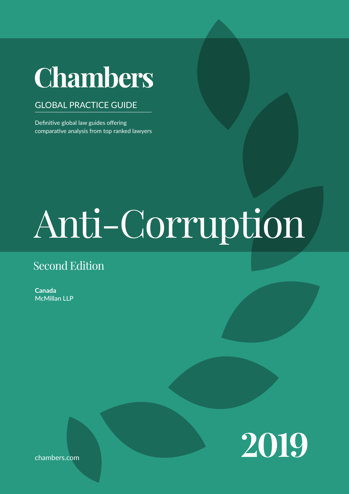# **Chambers**

#### GLOBAL PRACTICE GUIDE

Definitive global law guides offering comparative analysis from top ranked lawyers

# Anti-Corruption

### Second Edition

**Canada** McMillan LLP



chambers.com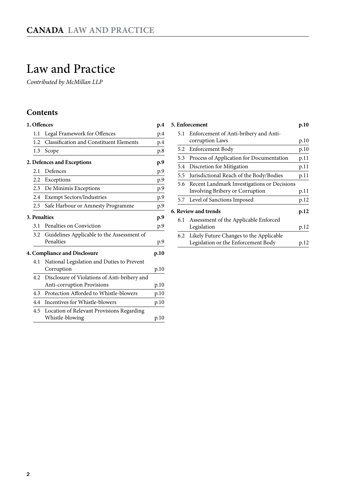## <span id="page-1-0"></span>Law and Practice

*Contributed by McMillan LLP*

#### **Contents**

|                                             |     | 1. Offences                                             | p.4  |  |  |
|---------------------------------------------|-----|---------------------------------------------------------|------|--|--|
|                                             | 1.1 | Legal Framework for Offences                            | p.4  |  |  |
|                                             | 1.2 | <b>Classification and Constituent Elements</b>          | p.4  |  |  |
|                                             | 1.3 | Scope                                                   | p.8  |  |  |
| 2. Defences and Exceptions                  |     |                                                         |      |  |  |
|                                             | 2.1 | Defences                                                | p.9  |  |  |
|                                             |     | 2.2 Exceptions                                          | p.9  |  |  |
|                                             |     | 2.3 De Minimis Exceptions                               | p.9  |  |  |
|                                             | 2.4 | <b>Exempt Sectors/Industries</b>                        | p.9  |  |  |
|                                             | 2.5 | Safe Harbour or Amnesty Programme                       | p.9  |  |  |
| <b>3. Penalties</b><br>p.9                  |     |                                                         |      |  |  |
|                                             | 3.1 | Penalties on Conviction                                 | p.9  |  |  |
|                                             | 3.2 | Guidelines Applicable to the Assessment of<br>Penalties | p.9  |  |  |
| <b>4. Compliance and Disclosure</b><br>p.10 |     |                                                         |      |  |  |
|                                             | 4.1 | National Legislation and Duties to Prevent              |      |  |  |
|                                             |     | Corruption                                              | p.10 |  |  |
|                                             | 4.2 | Disclosure of Violations of Anti-bribery and            |      |  |  |
|                                             |     | Anti-corruption Provisions                              | p.10 |  |  |
|                                             | 4.3 | Protection Afforded to Whistle-blowers                  | p.10 |  |  |
|                                             | 4.4 | Incentives for Whistle-blowers                          | p.10 |  |  |
|                                             | 4.5 | Location of Relevant Provisions Regarding               |      |  |  |
|                                             |     | Whistle-blowing                                         | p.10 |  |  |

|     | 5. Enforcement                              | p.10 |
|-----|---------------------------------------------|------|
| 5.1 | Enforcement of Anti-bribery and Anti-       |      |
|     | corruption Laws                             | p.10 |
|     | 5.2 Enforcement Body                        | p.10 |
| 5.3 | Process of Application for Documentation    | p.11 |
|     | 5.4 Discretion for Mitigation               | p.11 |
| 5.5 | Jurisdictional Reach of the Body/Bodies     | p.11 |
| 5.6 | Recent Landmark Investigations or Decisions |      |
|     | Involving Bribery or Corruption             | p.11 |
|     | 5.7 Level of Sanctions Imposed              | p.12 |
|     | 6. Review and trends                        | p.12 |
|     | 6.1 Assessment of the Applicable Enforced   |      |
|     | Legislation                                 | p.12 |
| 6.2 | Likely Future Changes to the Applicable     |      |
|     | Legislation or the Enforcement Body         | p.12 |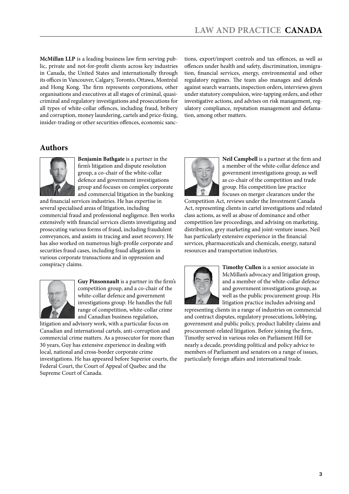**McMillan LLP** is a leading business law firm serving public, private and not-for-profit clients across key industries in Canada, the United States and internationally through its offices in Vancouver, Calgary, Toronto, Ottawa, Montréal and Hong Kong. The firm represents corporations, other organisations and executives at all stages of criminal, quasicriminal and regulatory investigations and prosecutions for all types of white-collar offences, including fraud, bribery and corruption, money laundering, cartels and price-fixing, insider-trading or other securities offences, economic sanc-

tions, export/import controls and tax offences, as well as offences under health and safety, discrimination, immigration, financial services, energy, environmental and other regulatory regimes. The team also manages and defends against search warrants, inspection orders, interviews given under statutory compulsion, wire-tapping orders, and other investigative actions, and advises on risk management, regulatory compliance, reputation management and defamation, among other matters.

#### **Authors**



**Benjamin Bathgate** is a partner in the firm's litigation and dispute resolution group, a co-chair of the white-collar defence and government investigations group and focuses on complex corporate and commercial litigation in the banking

and financial services industries. He has expertise in several specialised areas of litigation, including commercial fraud and professional negligence. Ben works extensively with financial services clients investigating and prosecuting various forms of fraud, including fraudulent conveyances, and assists in tracing and asset recovery. He has also worked on numerous high-profile corporate and securities fraud cases, including fraud allegations in various corporate transactions and in oppression and conspiracy claims.



**Guy Pinsonnault** is a partner in the firm's competition group, and a co-chair of the white-collar defence and government investigations group. He handles the full range of competition, white-collar crime and Canadian business regulation,

litigation and advisory work, with a particular focus on Canadian and international cartels, anti-corruption and commercial crime matters. As a prosecutor for more than 30 years, Guy has extensive experience in dealing with local, national and cross-border corporate crime investigations. He has appeared before Superior courts, the Federal Court, the Court of Appeal of Quebec and the Supreme Court of Canada.



**Neil Campbell** is a partner at the firm and a member of the white-collar defence and government investigations group, as well as co-chair of the competition and trade group. His competition law practice focuses on merger clearances under the

Competition Act, reviews under the Investment Canada Act, representing clients in cartel investigations and related class actions, as well as abuse of dominance and other competition law proceedings, and advising on marketing, distribution, grey marketing and joint-venture issues. Neil has particularly extensive experience in the financial services, pharmaceuticals and chemicals, energy, natural resources and transportation industries.



**Timothy Cullen** is a senior associate in McMillan's advocacy and litigation group, and a member of the white-collar defence and government investigations group, as well as the public procurement group. His litigation practice includes advising and

representing clients in a range of industries on commercial and contract disputes, regulatory prosecutions, lobbying, government and public policy, product liability claims and procurement-related litigation. Before joining the firm, Timothy served in various roles on Parliament Hill for nearly a decade, providing political and policy advice to members of Parliament and senators on a range of issues, particularly foreign affairs and international trade.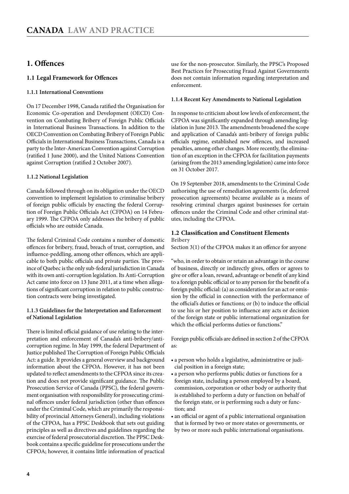#### <span id="page-3-0"></span>**1. Offences**

#### **1.1 Legal Framework for Offences**

#### **1.1.1 International Conventions**

On 17 December 1998, Canada ratified the Organisation for Economic Co-operation and Development (OECD) Convention on Combating Bribery of Foreign Public Officials in International Business Transactions. In addition to the OECD Convention on Combating Bribery of Foreign Public Officials in International Business Transactions, Canada is a party to the Inter-American Convention against Corruption (ratified 1 June 2000), and the United Nations Convention against Corruption (ratified 2 October 2007).

#### **1.1.2 National Legislation**

Canada followed through on its obligation under the OECD convention to implement legislation to criminalise bribery of foreign public officials by enacting the federal Corruption of Foreign Public Officials Act (CFPOA) on 14 February 1999. The CFPOA only addresses the bribery of public officials who are outside Canada.

The federal Criminal Code contains a number of domestic offences for bribery, fraud, breach of trust, corruption, and influence-peddling, among other offences, which are applicable to both public officials and private parties. The province of Quebec is the only sub-federal jurisdiction in Canada with its own anti-corruption legislation. Its Anti-Corruption Act came into force on 13 June 2011, at a time when allegations of significant corruption in relation to public construction contracts were being investigated.

#### **1.1.3 Guidelines for the Interpretation and Enforcement of National Legislation**

There is limited official guidance of use relating to the interpretation and enforcement of Canada's anti-bribery/anticorruption regime. In May 1999, the federal Department of Justice published The Corruption of Foreign Public Officials Act: a guide. It provides a general overview and background information about the CFPOA. However, it has not been updated to reflect amendments to the CFPOA since its creation and does not provide significant guidance. The Public Prosecution Service of Canada (PPSC), the federal government organisation with responsibility for prosecuting criminal offences under federal jurisdiction (other than offences under the Criminal Code, which are primarily the responsibility of provincial Attorneys General), including violations of the CFPOA, has a PPSC Deskbook that sets out guiding principles as well as directives and guidelines regarding the exercise of federal prosecutorial discretion. The PPSC Deskbook contains a specific guideline for prosecutions under the CFPOA; however, it contains little information of practical

use for the non-prosecutor. Similarly, the PPSC's Proposed Best Practices for Prosecuting Fraud Against Governments does not contain information regarding interpretation and enforcement.

#### **1.1.4 Recent Key Amendments to National Legislation**

In response to criticism about low levels of enforcement, the CFPOA was significantly expanded through amending legislation in June 2013. The amendments broadened the scope and application of Canada's anti-bribery of foreign public officials regime, established new offences, and increased penalties, among other changes. More recently, the elimination of an exception in the CFPOA for facilitation payments (arising from the 2013 amending legislation) came into force on 31 October 2017.

On 19 September 2018, amendments to the Criminal Code authorising the use of remediation agreements (ie, deferred prosecution agreements) became available as a means of resolving criminal charges against businesses for certain offences under the Criminal Code and other criminal statutes, including the CFPOA.

#### **1.2 Classification and Constituent Elements**

**Bribery**

Section 3(1) of the CFPOA makes it an offence for anyone

"who, in order to obtain or retain an advantage in the course of business, directly or indirectly gives, offers or agrees to give or offer a loan, reward, advantage or benefit of any kind to a foreign public official or to any person for the benefit of a foreign public official: (a) as consideration for an act or omission by the official in connection with the performance of the official's duties or functions; or (b) to induce the official to use his or her position to influence any acts or decision of the foreign state or public international organization for which the official performs duties or functions."

Foreign public officials are defined in section 2 of the CFPOA as:

- a person who holds a legislative, administrative or judicial position in a foreign state;
- a person who performs public duties or functions for a foreign state, including a person employed by a board, commission, corporation or other body or authority that is established to perform a duty or function on behalf of the foreign state, or is performing such a duty or function; and
- an official or agent of a public international organisation that is formed by two or more states or governments, or by two or more such public international organisations.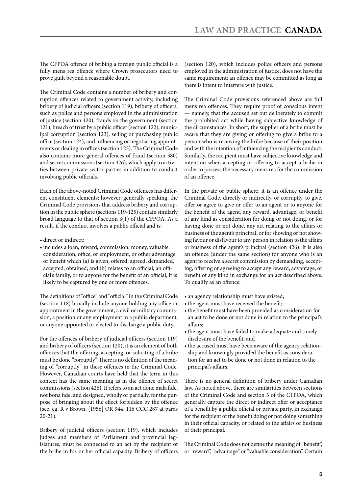The CFPOA offence of bribing a foreign public official is a fully mens rea offence where Crown prosecutors need to prove guilt beyond a reasonable doubt.

The Criminal Code contains a number of bribery and corruption offences related to government activity, including bribery of judicial officers (section 119), bribery of officers, such as police and persons employed in the administration of justice (section 120), frauds on the government (section 121), breach of trust by a public officer (section 122), municipal corruption (section 123), selling or purchasing public office (section 124), and influencing or negotiating appointments or dealing in offices (section 125). The Criminal Code also contains more general offences of fraud (section 380) and secret commissions (section 426), which apply to activities between private sector parties in addition to conduct involving public officials.

Each of the above-noted Criminal Code offences has different constituent elements; however, generally speaking, the Criminal Code provisions that address bribery and corruption in the public sphere (sections 119-125) contain similarly broad language to that of section 3(1) of the CFPOA. As a result, if the conduct involves a public official and is:

- direct or indirect;
- • includes a loan, reward, commission, money, valuable consideration, office, or employment, or other advantage or benefit which (a) is given, offered, agreed, demanded, accepted, obtained; and (b) relates to an official, an official's family, or to anyone for the benefit of an official; it is likely to be captured by one or more offences.

The definitions of "office" and "official" in the Criminal Code (section 118) broadly include anyone holding any office or appointment in the government, a civil or military commission, a position or any employment in a public department, or anyone appointed or elected to discharge a public duty.

For the offences of bribery of judicial officers (section 119) and bribery of officers (section 120), it is an element of both offences that the offering, accepting, or soliciting of a bribe must be done "corruptly". There is no definition of the meaning of "corruptly" in these offences in the Criminal Code. However, Canadian courts have held that the term in this context has the same meaning as in the offence of secret commissions (section 426). It refers to an act done mala fide, not bona fide, and designed, wholly or partially, for the purpose of bringing about the effect forbidden by the offence (see, eg, R v Brown, [1956] OR 944, 116 CCC 287 at paras 20-21).

Bribery of judicial officers (section 119), which includes judges and members of Parliament and provincial legislatures, must be connected to an act by the recipient of the bribe in his or her official capacity. Bribery of officers

(section 120), which includes police officers and persons employed in the administration of justice, does not have the same requirement; an offence may be committed as long as there is intent to interfere with justice.

The Criminal Code provisions referenced above are full mens rea offences. They require proof of conscious intent — namely, that the accused set out deliberately to commit the prohibited act while having subjective knowledge of the circumstances. In short, the supplier of a bribe must be aware that they are giving or offering to give a bribe to a person who is receiving the bribe because of their position and with the intention of influencing the recipient's conduct. Similarly, the recipient must have subjective knowledge and intention when accepting or offering to accept a bribe in order to possess the necessary mens rea for the commission of an offence.

In the private or public sphere, it is an offence under the Criminal Code, directly or indirectly, or corruptly, to give, offer or agree to give or offer to an agent or to anyone for the benefit of the agent, any reward, advantage, or benefit of any kind as consideration for doing or not doing, or for having done or not done, any act relating to the affairs or business of the agent's principal, or for showing or not showing favour or disfavour to any person in relation to the affairs or business of the agent's principal (section 426). It is also an offence (under the same section) for anyone who is an agent to receive a secret commission by demanding, accepting, offering or agreeing to accept any reward, advantage, or benefit of any kind in exchange for an act described above. To qualify as an offence:

- an agency relationship must have existed;
- the agent must have received the benefit;
- the benefit must have been provided as consideration for an act to be done or not done in relation to the principal's affairs;
- the agent must have failed to make adequate and timely disclosure of the benefit; and
- the accused must have been aware of the agency relationship and knowingly provided the benefit as consideration for an act to be done or not done in relation to the principal's affairs.

There is no general definition of bribery under Canadian law. As noted above, there are similarities between sections of the Criminal Code and section 3 of the CFPOA, which generally capture the direct or indirect offer or acceptance of a benefit by a public official or private party, in exchange for the recipient of the benefit doing or not doing something in their official capacity, or related to the affairs or business of their principal.

The Criminal Code does not define the meaning of "benefit", or "reward", "advantage" or "valuable consideration". Certain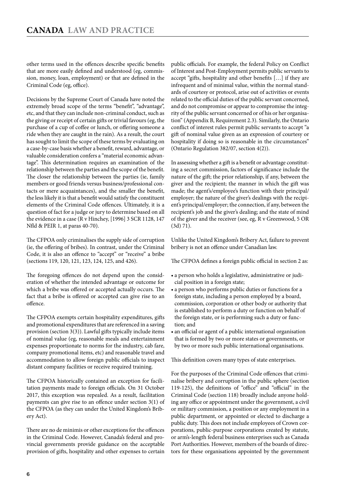other terms used in the offences describe specific benefits that are more easily defined and understood (eg, commission, money, loan, employment) or that are defined in the Criminal Code (eg, office).

Decisions by the Supreme Court of Canada have noted the extremely broad scope of the terms "benefit", "advantage", etc, and that they can include non-criminal conduct, such as the giving or receipt of certain gifts or trivial favours (eg, the purchase of a cup of coffee or lunch, or offering someone a ride when they are caught in the rain). As a result, the court has sought to limit the scope of these terms by evaluating on a case-by-case basis whether a benefit, reward, advantage, or valuable consideration confers a "material economic advantage". This determination requires an examination of the relationship between the parties and the scope of the benefit. The closer the relationship between the parties (ie, family members or good friends versus business/professional contacts or mere acquaintances), and the smaller the benefit, the less likely it is that a benefit would satisfy the constituent elements of the Criminal Code offences. Ultimately, it is a question of fact for a judge or jury to determine based on all the evidence in a case (R v Hinchey, [1996] 3 SCR 1128, 147 Nfld & PEIR 1, at paras 40-70).

The CFPOA only criminalises the supply side of corruption (ie, the offering of bribes). In contrast, under the Criminal Code, it is also an offence to "accept" or "receive" a bribe (sections 119, 120, 121, 123, 124, 125, and 426).

The foregoing offences do not depend upon the consideration of whether the intended advantage or outcome for which a bribe was offered or accepted actually occurs. The fact that a bribe is offered or accepted can give rise to an offence.

The CFPOA exempts certain hospitality expenditures, gifts and promotional expenditures that are referenced in a saving provision (section 3(3)). Lawful gifts typically include items of nominal value (eg, reasonable meals and entertainment expenses proportionate to norms for the industry, cab fare, company promotional items, etc) and reasonable travel and accommodation to allow foreign public officials to inspect distant company facilities or receive required training.

The CFPOA historically contained an exception for facilitation payments made to foreign officials. On 31 October 2017, this exception was repealed. As a result, facilitation payments can give rise to an offence under section 3(1) of the CFPOA (as they can under the United Kingdom's Bribery Act).

There are no de minimis or other exceptions for the offences in the Criminal Code. However, Canada's federal and provincial governments provide guidance on the acceptable provision of gifts, hospitality and other expenses to certain public officials. For example, the federal Policy on Conflict of Interest and Post-Employment permits public servants to accept "gifts, hospitality and other benefits […] if they are infrequent and of minimal value, within the normal standards of courtesy or protocol, arise out of activities or events related to the official duties of the public servant concerned, and do not compromise or appear to compromise the integrity of the public servant concerned or of his or her organisation" (Appendix B, Requirement 2.3). Similarly, the Ontario conflict of interest rules permit public servants to accept "a gift of nominal value given as an expression of courtesy or hospitality if doing so is reasonable in the circumstances" (Ontario Regulation 382/07, section 4(2)).

In assessing whether a gift is a benefit or advantage constituting a secret commission, factors of significance include the nature of the gift; the prior relationship, if any, between the giver and the recipient; the manner in which the gift was made; the agent's/employee's function with their principal/ employer; the nature of the giver's dealings with the recipient's principal/employer; the connection, if any, between the recipient's job and the giver's dealing; and the state of mind of the giver and the receiver (see, eg, R v Greenwood, 5 OR (3d) 71).

Unlike the United Kingdom's Bribery Act, failure to prevent bribery is not an offence under Canadian law.

The CFPOA defines a foreign public official in section 2 as:

- a person who holds a legislative, administrative or judicial position in a foreign state;
- a person who performs public duties or functions for a foreign state, including a person employed by a board, commission, corporation or other body or authority that is established to perform a duty or function on behalf of the foreign state, or is performing such a duty or function; and
- an official or agent of a public international organisation that is formed by two or more states or governments, or by two or more such public international organisations.

This definition covers many types of state enterprises.

For the purposes of the Criminal Code offences that criminalise bribery and corruption in the public sphere (section 119-125), the definitions of "office" and "official" in the Criminal Code (section 118) broadly include anyone holding any office or appointment under the government, a civil or military commission, a position or any employment in a public department, or appointed or elected to discharge a public duty. This does not include employees of Crown corporations, public-purpose corporations created by statute, or arm's-length federal business enterprises such as Canada Port Authorities. However, members of the boards of directors for these organisations appointed by the government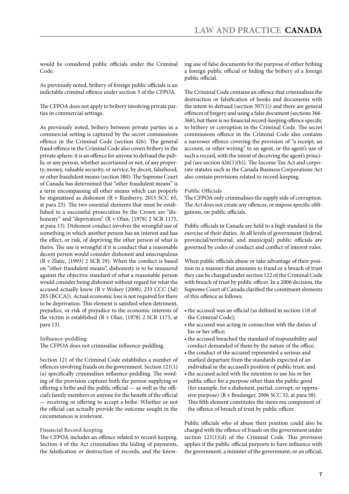would be considered public officials under the Criminal Code.

As previously noted, bribery of foreign public officials is an indictable criminal offence under section 3 of the CFPOA.

The CFPOA does not apply to bribery involving private parties in commercial settings.

As previously noted, bribery between private parties in a commercial setting is captured by the secret commissions offence in the Criminal Code (section 426). The general fraud offence in the Criminal Code also covers bribery in the private sphere: it is an offence for anyone to defraud the public or any person, whether ascertained or not, of any property, money, valuable security, or service, by deceit, falsehood, or other fraudulent means (section 380). The Supreme Court of Canada has determined that "other fraudulent means" is a term encompassing all other means which can properly be stigmatised as dishonest (R v Riesberry, 2015 SCC 65, at para 23). The two essential elements that must be established in a successful prosecution by the Crown are "dishonesty" and "deprivation" (R v Olan, [1978] 2 SCR 1175, at para 13). Dishonest conduct involves the wrongful use of something in which another person has an interest and has the effect, or risk, of depriving the other person of what is theirs. The use is wrongful if it is conduct that a reasonable decent person would consider dishonest and unscrupulous (R v Zlatic, [1993] 2 SCR 29). When the conduct is based on "other fraudulent means", dishonesty is to be measured against the objective standard of what a reasonable person would consider being dishonest without regard for what the accused actually knew (R v Wolsey (2008), 233 CCC (3d) 205 (BCCA)). Actual economic loss is not required for there to be deprivation. This element is satisfied when detriment, prejudice, or risk of prejudice to the economic interests of the victim is established (R v Olan, [1978] 2 SCR 1175, at para 13).

**Influence-peddling**

The CFPOA does not criminalise influence-peddling.

Section 121 of the Criminal Code establishes a number of offences involving frauds on the government. Section 121(1) (a) specifically criminalises influence-peddling. The wording of the provision captures both the person supplying or offering a bribe and the public official — as well as the official's family members or anyone for the benefit of the official — receiving or offering to accept a bribe. Whether or not the official can actually provide the outcome sought in the circumstances is irrelevant.

#### **Financial Record-keeping**

The CFPOA includes an offence related to record-keeping. Section 4 of the Act criminalises the hiding of payments, the falsification or destruction of records, and the knowing use of false documents for the purpose of either bribing a foreign public official or hiding the bribery of a foreign public official.

The Criminal Code contains an offence that criminalises the destruction or falsification of books and documents with the intent to defraud (section 397(1)) and there are general offences of forgery and using a false document (sections 366- 368), but there is no financial record-keeping offence specific to bribery or corruption in the Criminal Code. The secret commissions offence in the Criminal Code also contains a narrower offence covering the provision of "a receipt, an account, or other writing" to an agent, or the agent's use of such a record, with the intent of deceiving the agent's principal (see section 426(1)(b)). The Income Tax Act and corporate statutes such as the Canada Business Corporations Act also contain provisions related to record-keeping.

#### **Public Officials**

The CFPOA only criminalises the supply side of corruption. The Act does not create any offences, or impose specific obligations, on public officials.

Public officials in Canada are held to a high standard in the exercise of their duties. At all levels of government (federal, provincial/territorial, and municipal) public officials are governed by codes of conduct and conflict of interest rules.

When public officials abuse or take advantage of their position in a manner that amounts to fraud or a breach of trust they can be charged under section 122 of the Criminal Code with breach of trust by public officer. In a 2006 decision, the Supreme Court of Canada clarified the constituent elements of this offence as follows:

- the accused was an official (as defined in section 118 of the Criminal Code);
- the accused was acting in connection with the duties of his or her office;
- the accused breached the standard of responsibility and conduct demanded of them by the nature of the office;
- the conduct of the accused represented a serious and marked departure from the standards expected of an individual in the accused's position of public trust; and
- the accused acted with the intention to use his or her public office for a purpose other than the public good (for example, for a dishonest, partial, corrupt, or oppressive purpose) (R v Boulanger, 2006 SCC 32, at para 58). This fifth element constitutes the mens rea component of the offence of breach of trust by public officer.

Public officials who of abuse their position could also be charged with the offence of frauds on the government under section 121(1)(d) of the Criminal Code. This provision applies if the public official purports to have influence with the government, a minister of the government, or an official,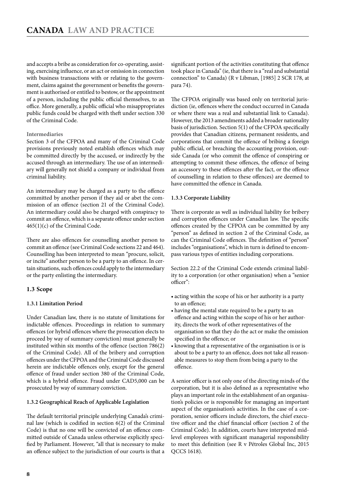<span id="page-7-0"></span>and accepts a bribe as consideration for co-operating, assisting, exercising influence, or an act or omission in connection with business transactions with or relating to the government, claims against the government or benefits the government is authorised or entitled to bestow, or the appointment of a person, including the public official themselves, to an office. More generally, a public official who misappropriates public funds could be charged with theft under section 330 of the Criminal Code.

#### **Intermediaries**

Section 3 of the CFPOA and many of the Criminal Code provisions previously noted establish offences which may be committed directly by the accused, or indirectly by the accused through an intermediary. The use of an intermediary will generally not shield a company or individual from criminal liability.

An intermediary may be charged as a party to the offence committed by another person if they aid or abet the commission of an offence (section 21 of the Criminal Code). An intermediary could also be charged with conspiracy to commit an offence, which is a separate offence under section 465(1)(c) of the Criminal Code.

There are also offences for counselling another person to commit an offence (see Criminal Code sections 22 and 464). Counselling has been interpreted to mean "procure, solicit, or incite" another person to be a party to an offence. In certain situations, such offences could apply to the intermediary or the party enlisting the intermediary.

#### **1.3 Scope**

#### **1.3.1 Limitation Period**

Under Canadian law, there is no statute of limitations for indictable offences. Proceedings in relation to summary offences (or hybrid offences where the prosecution elects to proceed by way of summary conviction) must generally be instituted within six months of the offence (section 786(2) of the Criminal Code). All of the bribery and corruption offences under the CFPOA and the Criminal Code discussed herein are indictable offences only, except for the general offence of fraud under section 380 of the Criminal Code, which is a hybrid offence. Fraud under CAD5,000 can be prosecuted by way of summary conviction.

#### **1.3.2 Geographical Reach of Applicable Legislation**

The default territorial principle underlying Canada's criminal law (which is codified in section 6(2) of the Criminal Code) is that no one will be convicted of an offence committed outside of Canada unless otherwise explicitly specified by Parliament. However, "all that is necessary to make an offence subject to the jurisdiction of our courts is that a significant portion of the activities constituting that offence took place in Canada" (ie, that there is a "real and substantial connection" to Canada) (R v Libman, [1985] 2 SCR 178, at para 74).

The CFPOA originally was based only on territorial jurisdiction (ie, offences where the conduct occurred in Canada or where there was a real and substantial link to Canada). However, the 2013 amendments added a broader nationality basis of jurisdiction. Section 5(1) of the CFPOA specifically provides that Canadian citizens, permanent residents, and corporations that commit the offence of bribing a foreign public official, or breaching the accounting provision, outside Canada (or who commit the offence of conspiring or attempting to commit these offences, the offence of being an accessory to these offences after the fact, or the offence of counselling in relation to these offences) are deemed to have committed the offence in Canada.

#### **1.3.3 Corporate Liability**

There is corporate as well as individual liability for bribery and corruption offences under Canadian law. The specific offences created by the CFPOA can be committed by any "person" as defined in section 2 of the Criminal Code, as can the Criminal Code offences. The definition of "person" includes "organisations", which in turn is defined to encompass various types of entities including corporations.

Section 22.2 of the Criminal Code extends criminal liability to a corporation (or other organisation) when a "senior officer":

- acting within the scope of his or her authority is a party to an offence;
- • having the mental state required to be a party to an offence and acting within the scope of his or her authority, directs the work of other representatives of the organisation so that they do the act or make the omission specified in the offence; or
- • knowing that a representative of the organisation is or is about to be a party to an offence, does not take all reasonable measures to stop them from being a party to the offence.

A senior officer is not only one of the directing minds of the corporation, but it is also defined as a representative who plays an important role in the establishment of an organisation's policies or is responsible for managing an important aspect of the organisation's activities. In the case of a corporation, senior officers include directors, the chief executive officer and the chief financial officer (section 2 of the Criminal Code). In addition, courts have interpreted midlevel employees with significant managerial responsibility to meet this definition (see R v Pétroles Global Inc, 2015 QCCS 1618).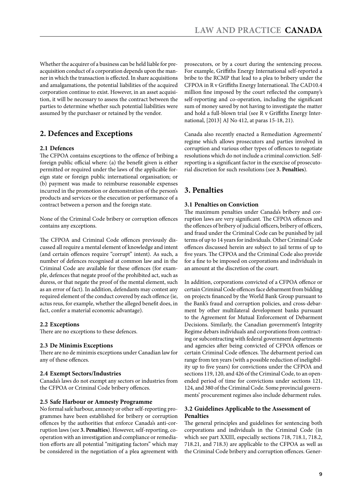<span id="page-8-0"></span>Whether the acquirer of a business can be held liable for preacquisition conduct of a corporation depends upon the manner in which the transaction is effected. In share acquisitions and amalgamations, the potential liabilities of the acquired corporation continue to exist. However, in an asset acquisition, it will be necessary to assess the contract between the parties to determine whether such potential liabilities were assumed by the purchaser or retained by the vendor.

#### **2. Defences and Exceptions**

#### **2.1 Defences**

The CFPOA contains exceptions to the offence of bribing a foreign public official where: (a) the benefit given is either permitted or required under the laws of the applicable foreign state or foreign public international organisation; or (b) payment was made to reimburse reasonable expenses incurred in the promotion or demonstration of the person's products and services or the execution or performance of a contract between a person and the foreign state.

None of the Criminal Code bribery or corruption offences contains any exceptions.

The CFPOA and Criminal Code offences previously discussed all require a mental element of knowledge and intent (and certain offences require "corrupt" intent). As such, a number of defences recognised at common law and in the Criminal Code are available for these offences (for example, defences that negate proof of the prohibited act, such as duress, or that negate the proof of the mental element, such as an error of fact). In addition, defendants may contest any required element of the conduct covered by each offence (ie, actus reus, for example, whether the alleged benefit does, in fact, confer a material economic advantage).

#### **2.2 Exceptions**

There are no exceptions to these defences.

#### **2.3 De Minimis Exceptions**

There are no de minimis exceptions under Canadian law for any of these offences.

#### **2.4 Exempt Sectors/Industries**

Canada's laws do not exempt any sectors or industries from the CFPOA or Criminal Code bribery offences.

#### **2.5 Safe Harbour or Amnesty Programme**

No formal safe harbour, amnesty or other self-reporting programmes have been established for bribery or corruption offences by the authorities that enforce Canada's anti-corruption laws (see **3. Penalties**). However, self-reporting, cooperation with an investigation and compliance or remediation efforts are all potential "mitigating factors" which may be considered in the negotiation of a plea agreement with prosecutors, or by a court during the sentencing process. For example, Griffiths Energy International self-reported a bribe to the RCMP that lead to a plea to bribery under the CFPOA in R v Griffiths Energy International. The CAD10.4 million fine imposed by the court reflected the company's self-reporting and co-operation, including the significant sum of money saved by not having to investigate the matter and hold a full-blown trial (see R v Griffiths Energy International, [2013] AJ No 412, at paras 15-18, 21).

Canada also recently enacted a Remediation Agreements' regime which allows prosecutors and parties involved in corruption and various other types of offences to negotiate resolutions which do not include a criminal conviction. Selfreporting is a significant factor in the exercise of prosecutorial discretion for such resolutions (see **3. Penalties**).

#### **3. Penalties**

#### **3.1 Penalties on Conviction**

The maximum penalties under Canada's bribery and corruption laws are very significant. The CFPOA offences and the offences of bribery of judicial officers, bribery of officers, and fraud under the Criminal Code can be punished by jail terms of up to 14 years for individuals. Other Criminal Code offences discussed herein are subject to jail terms of up to five years. The CFPOA and the Criminal Code also provide for a fine to be imposed on corporations and individuals in an amount at the discretion of the court.

In addition, corporations convicted of a CFPOA offence or certain Criminal Code offences face debarment from bidding on projects financed by the World Bank Group pursuant to the Bank's fraud and corruption policies, and cross-debarment by other multilateral development banks pursuant to the Agreement for Mutual Enforcement of Debarment Decisions. Similarly, the Canadian government's Integrity Regime debars individuals and corporations from contracting or subcontracting with federal government departments and agencies after being convicted of CFPOA offences or certain Criminal Code offences. The debarment period can range from ten years (with a possible reduction of ineligibility up to five years) for convictions under the CFPOA and sections 119, 120, and 426 of the Criminal Code, to an openended period of time for convictions under sections 121, 124, and 380 of the Criminal Code. Some provincial governments' procurement regimes also include debarment rules.

#### **3.2 Guidelines Applicable to the Assessment of Penalties**

The general principles and guidelines for sentencing both corporations and individuals in the Criminal Code (in which see part XXIII, especially sections 718, 718.1, 718.2, 718.21, and 718.3) are applicable to the CFPOA as well as the Criminal Code bribery and corruption offences. Gener-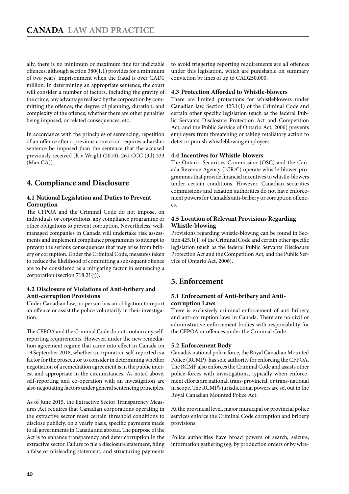<span id="page-9-0"></span>ally, there is no minimum or maximum fine for indictable offences, although section 380(1.1) provides for a minimum of two years' imprisonment when the fraud is over CAD1 million. In determining an appropriate sentence, the court will consider a number of factors, including the gravity of the crime; any advantage realised by the corporation by committing the offence; the degree of planning, duration, and complexity of the offence; whether there are other penalties being imposed, or related consequences, etc.

In accordance with the principles of sentencing, repetition of an offence after a previous conviction requires a harsher sentence be imposed than the sentence that the accused previously received (R v Wright (2010), 261 CCC (3d) 333 (Man CA)).

#### **4. Compliance and Disclosure**

#### **4.1 National Legislation and Duties to Prevent Corruption**

The CFPOA and the Criminal Code do not impose, on individuals or corporations, any compliance programme or other obligations to prevent corruption. Nevertheless, wellmanaged companies in Canada will undertake risk assessments and implement compliance programmes to attempt to prevent the serious consequences that may arise from bribery or corruption. Under the Criminal Code, measures taken to reduce the likelihood of committing a subsequent offence are to be considered as a mitigating factor in sentencing a corporation (section 718.21(j)).

#### **4.2 Disclosure of Violations of Anti-bribery and Anti-corruption Provisions**

Under Canadian law, no person has an obligation to report an offence or assist the police voluntarily in their investigation.

The CFPOA and the Criminal Code do not contain any selfreporting requirements. However, under the new remediation agreement regime that came into effect in Canada on 19 September 2018, whether a corporation self-reported is a factor for the prosecutor to consider in determining whether negotiation of a remediation agreement is in the public interest and appropriate in the circumstances. As noted above, self-reporting and co-operation with an investigation are also negotiating factors under general sentencing principles.

As of June 2015, the Extractive Sector Transparency Measures Act requires that Canadian corporations operating in the extractive sector meet certain threshold conditions to disclose publicly, on a yearly basis, specific payments made to all governments in Canada and abroad. The purpose of the Act is to enhance transparency and deter corruption in the extractive sector. Failure to file a disclosure statement, filing a false or misleading statement, and structuring payments

to avoid triggering reporting requirements are all offences under this legislation, which are punishable on summary conviction by fines of up to CAD250,000.

#### **4.3 Protection Afforded to Whistle-blowers**

There are limited protections for whistleblowers under Canadian law. Section 425.1(1) of the Criminal Code and certain other specific legislation (such as the federal Public Servants Disclosure Protection Act and Competition Act, and the Public Service of Ontario Act, 2006) prevents employers from threatening or taking retaliatory action to deter or punish whistleblowing employees.

#### **4.4 Incentives for Whistle-blowers**

The Ontario Securities Commission (OSC) and the Canada Revenue Agency ("CRA") operate whistle-blower programmes that provide financial incentives to whistle-blowers under certain conditions. However, Canadian securities commissions and taxation authorities do not have enforcement powers for Canada's anti-bribery or corruption offences.

#### **4.5 Location of Relevant Provisions Regarding Whistle-blowing**

Provisions regarding whistle-blowing can be found in Section 425.1(1) of the Criminal Code and certain other specific legislation (such as the federal Public Servants Disclosure Protection Act and the Competition Act, and the Public Service of Ontario Act, 2006).

#### **5. Enforcement**

#### **5.1 Enforcement of Anti-bribery and Anticorruption Laws**

There is exclusively criminal enforcement of anti-bribery and anti-corruption laws in Canada. There are no civil or administrative enforcement bodies with responsibility for the CFPOA or offences under the Criminal Code.

#### **5.2 Enforcement Body**

Canada's national police force, the Royal Canadian Mounted Police (RCMP), has sole authority for enforcing the CFPOA. The RCMP also enforces the Criminal Code and assists other police forces with investigations, typically when enforcement efforts are national, trans-provincial, or trans-national in scope. The RCMP's jurisdictional powers are set out in the Royal Canadian Mounted Police Act.

At the provincial level, major municipal or provincial police services enforce the Criminal Code corruption and bribery provisions.

Police authorities have broad powers of search, seizure, information gathering (eg, by production orders or by wire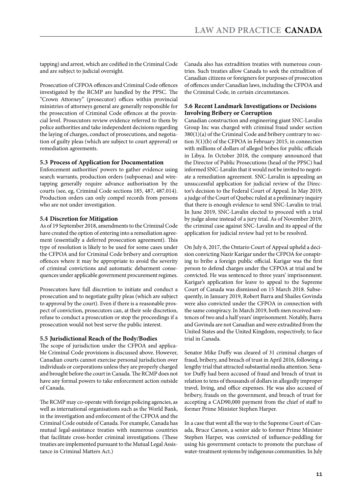<span id="page-10-0"></span>tapping) and arrest, which are codified in the Criminal Code and are subject to judicial oversight.

Prosecution of CFPOA offences and Criminal Code offences investigated by the RCMP are handled by the PPSC. The "Crown Attorney" (prosecutor) offices within provincial ministries of attorneys general are generally responsible for the prosecution of Criminal Code offences at the provincial level. Prosecutors review evidence referred to them by police authorities and take independent decisions regarding the laying of charges, conduct of prosecutions, and negotiation of guilty pleas (which are subject to court approval) or remediation agreements.

#### **5.3 Process of Application for Documentation**

Enforcement authorities' powers to gather evidence using search warrants, production orders (subpoenas) and wiretapping generally require advance authorisation by the courts (see, eg, Criminal Code sections 185, 487, 487.014). Production orders can only compel records from persons who are not under investigation.

#### **5.4 Discretion for Mitigation**

As of 19 September 2018, amendments to the Criminal Code have created the option of entering into a remediation agreement (essentially a deferred prosecution agreement). This type of resolution is likely to be used for some cases under the CFPOA and for Criminal Code bribery and corruption offences where it may be appropriate to avoid the severity of criminal convictions and automatic debarment consequences under applicable government procurement regimes.

Prosecutors have full discretion to initiate and conduct a prosecution and to negotiate guilty pleas (which are subject to approval by the court). Even if there is a reasonable prospect of conviction, prosecutors can, at their sole discretion, refuse to conduct a prosecution or stop the proceedings if a prosecution would not best serve the public interest.

#### **5.5 Jurisdictional Reach of the Body/Bodies**

The scope of jurisdiction under the CFPOA and applicable Criminal Code provisions is discussed above. However, Canadian courts cannot exercise personal jurisdiction over individuals or corporations unless they are properly charged and brought before the court in Canada. The RCMP does not have any formal powers to take enforcement action outside of Canada.

The RCMP may co-operate with foreign policing agencies, as well as international organisations such as the World Bank, in the investigation and enforcement of the CFPOA and the Criminal Code outside of Canada. For example, Canada has mutual legal-assistance treaties with numerous countries that facilitate cross-border criminal investigations. (These treaties are implemented pursuant to the Mutual Legal Assistance in Criminal Matters Act.)

Canada also has extradition treaties with numerous countries. Such treaties allow Canada to seek the extradition of Canadian citizens or foreigners for purposes of prosecution of offences under Canadian laws, including the CFPOA and the Criminal Code, in certain circumstances.

#### **5.6 Recent Landmark Investigations or Decisions Involving Bribery or Corruption**

Canadian construction and engineering giant SNC-Lavalin Group Inc was charged with criminal fraud under section 380(1)(a) of the Criminal Code and bribery contrary to section 3(1)(b) of the CFPOA in February 2015, in connection with millions of dollars of alleged bribes for public officials in Libya. In October 2018, the company announced that the Director of Public Prosecutions (head of the PPSC) had informed SNC-Lavalin that it would not be invited to negotiate a remediation agreement. SNC-Lavalin is appealing an unsuccessful application for judicial review of the Director's decision to the Federal Court of Appeal. In May 2019, a judge of the Court of Quebec ruled at a preliminary inquiry that there is enough evidence to send SNC-Lavalin to trial. In June 2019, SNC-Lavalin elected to proceed with a trial by judge alone instead of a jury trial. As of November 2019, the criminal case against SNC-Lavalin and its appeal of the application for judicial review had yet to be resolved.

On July 6, 2017, the Ontario Court of Appeal upheld a decision convicting Nazir Karigar under the CFPOA for conspiring to bribe a foreign public official. Karigar was the first person to defend charges under the CFPOA at trial and be convicted. He was sentenced to three years' imprisonment. Karigar's application for leave to appeal to the Supreme Court of Canada was dismissed on 15 March 2018. Subsequently, in January 2019, Robert Barra and Shailes Govinda were also convicted under the CFPOA in connection with the same conspiracy. In March 2019, both men received sentences of two and a half years' imprisonment. Notably, Barra and Govinda are not Canadian and were extradited from the United States and the United Kingdom, respectively, to face trial in Canada.

Senator Mike Duffy was cleared of 31 criminal charges of fraud, bribery, and breach of trust in April 2016, following a lengthy trial that attracted substantial media attention. Senator Duffy had been accused of fraud and breach of trust in relation to tens of thousands of dollars in allegedly improper travel, living, and office expenses. He was also accused of bribery, frauds on the government, and breach of trust for accepting a CAD90,000 payment from the chief of staff to former Prime Minister Stephen Harper.

In a case that went all the way to the Supreme Court of Canada, Bruce Carson, a senior aide to former Prime Minister Stephen Harper, was convicted of influence-peddling for using his government contacts to promote the purchase of water-treatment systems by indigenous communities. In July